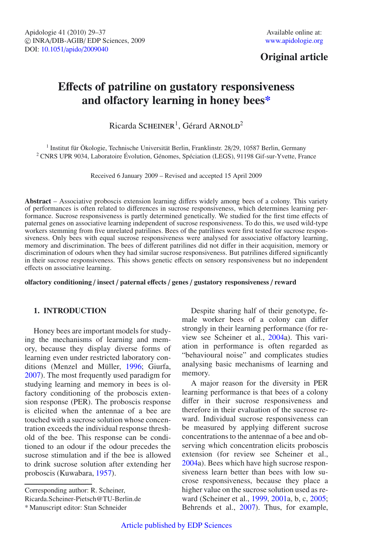## **Original article**

# **E**ff**ects of patriline on gustatory responsiveness and olfactory learning in honey bees\***

Ricarda SCHEINER<sup>1</sup>, Gérard ARNOLD<sup>2</sup>

<sup>1</sup> Institut für Ökologie, Technische Universität Berlin, Franklinstr. 28/29, 10587 Berlin, Germany <sup>2</sup> CNRS UPR 9034, Laboratoire Évolution, Génomes, Spéciation (LEGS), 91198 Gif-sur-Yvette, France

Received 6 January 2009 – Revised and accepted 15 April 2009

**Abstract** – Associative proboscis extension learning differs widely among bees of a colony. This variety of performances is often related to differences in sucrose responsiveness, which determines learning performance. Sucrose responsiveness is partly determined genetically. We studied for the first time effects of paternal genes on associative learning independent of sucrose responsiveness. To do this, we used wild-type workers stemming from five unrelated patrilines. Bees of the patrilines were first tested for sucrose responsiveness. Only bees with equal sucrose responsiveness were analysed for associative olfactory learning, memory and discrimination. The bees of different patrilines did not differ in their acquisition, memory or discrimination of odours when they had similar sucrose responsiveness. But patrilines differed significantly in their sucrose responsiveness. This shows genetic effects on sensory responsiveness but no independent effects on associative learning.

**olfactory conditioning** / **insect** / **paternal e**ff**ects** / **genes** / **gustatory responsiveness** / **reward**

## **1. INTRODUCTION**

Honey bees are important models for studying the mechanisms of learning and memory, because they display diverse forms of learning even under restricted laboratory conditions (Menzel and Müller, [1996;](#page-7-0) Giurfa, [2007](#page-7-1)). The most frequently used paradigm for studying learning and memory in bees is olfactory conditioning of the proboscis extension response (PER). The proboscis response is elicited when the antennae of a bee are touched with a sucrose solution whose concentration exceeds the individual response threshold of the bee. This response can be conditioned to an odour if the odour precedes the sucrose stimulation and if the bee is allowed to drink sucrose solution after extending her proboscis (Kuwabara, [1957\)](#page-7-2).

Corresponding author: R. Scheiner,

Ricarda.Scheiner-Pietsch@TU-Berlin.de

Despite sharing half of their genotype, female worker bees of a colony can differ strongly in their learning performance (for review see Scheiner et al., [2004a](#page-8-0)). This variation in performance is often regarded as "behavioural noise" and complicates studies analysing basic mechanisms of learning and memory.

A major reason for the diversity in PER learning performance is that bees of a colony differ in their sucrose responsiveness and therefore in their evaluation of the sucrose reward. Individual sucrose responsiveness can be measured by applying different sucrose concentrations to the antennae of a bee and observing which concentration elicits proboscis extension (for review see Scheiner et al., [2004a](#page-8-0)). Bees which have high sucrose responsiveness learn better than bees with low sucrose responsiveness, because they place a higher value on the sucrose solution used as reward (Scheiner et al., [1999](#page-7-3), [2001](#page-8-1)a, b, c, [2005](#page-8-2); Behrends et al., [2007](#page-6-0)). Thus, for example,

<sup>\*</sup> Manuscript editor: Stan Schneider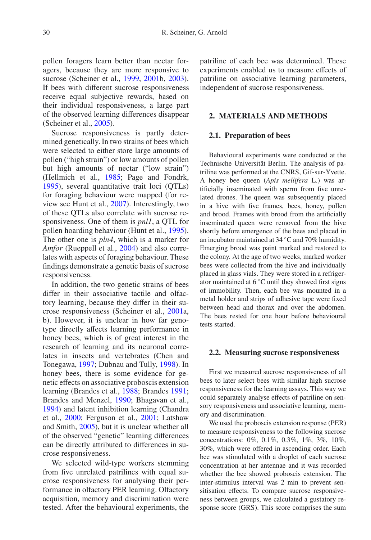pollen foragers learn better than nectar foragers, because they are more responsive to sucrose (Scheiner et al., [1999,](#page-7-3) [2001b](#page-8-3), [2003\)](#page-7-4). If bees with different sucrose responsiveness receive equal subjective rewards, based on their individual responsiveness, a large part of the observed learning differences disappear (Scheiner et al., [2005\)](#page-8-2).

Sucrose responsiveness is partly determined genetically. In two strains of bees which were selected to either store large amounts of pollen ("high strain") or low amounts of pollen but high amounts of nectar ("low strain") (Hellmich et al., [1985](#page-7-5); Page and Fondrk, [1995\)](#page-7-6), several quantitative trait loci (QTLs) for foraging behaviour were mapped (for review see Hunt et al., [2007\)](#page-7-7). Interestingly, two of these QTLs also correlate with sucrose responsiveness. One of them is *pnl1*, a QTL for pollen hoarding behaviour (Hunt et al., [1995\)](#page-7-8). The other one is *pln4*, which is a marker for *Amfor* (Rueppell et al., [2004\)](#page-7-9) and also correlates with aspects of foraging behaviour. These findings demonstrate a genetic basis of sucrose responsiveness.

In addition, the two genetic strains of bees differ in their associative tactile and olfactory learning, because they differ in their sucrose responsiveness (Scheiner et al., [2001](#page-8-1)a, b). However, it is unclear in how far genotype directly affects learning performance in honey bees, which is of great interest in the research of learning and its neuronal correlates in insects and vertebrates (Chen and Tonegawa, [1997](#page-7-10); Dubnau and Tully, [1998\)](#page-7-11). In honey bees, there is some evidence for genetic effects on associative proboscis extension learning (Brandes et al., [1988;](#page-6-1) Brandes [1991;](#page-6-2) Brandes and Menzel, [1990;](#page-6-3) Bhagavan et al., [1994\)](#page-6-4) and latent inhibition learning (Chandra et al., [2000;](#page-6-5) Ferguson et al., [2001;](#page-7-12) Latshaw and Smith, [2005\)](#page-7-13), but it is unclear whether all of the observed "genetic" learning differences can be directly attributed to differences in sucrose responsiveness.

We selected wild-type workers stemming from five unrelated patrilines with equal sucrose responsiveness for analysing their performance in olfactory PER learning. Olfactory acquisition, memory and discrimination were tested. After the behavioural experiments, the

patriline of each bee was determined. These experiments enabled us to measure effects of patriline on associative learning parameters, independent of sucrose responsiveness.

#### **2. MATERIALS AND METHODS**

#### **2.1. Preparation of bees**

Behavioural experiments were conducted at the Technische Universität Berlin. The analysis of patriline was performed at the CNRS, Gif-sur-Yvette. A honey bee queen (*Apis mellifera* L.) was artificially inseminated with sperm from five unrelated drones. The queen was subsequently placed in a hive with five frames, bees, honey, pollen and brood. Frames with brood from the artificially inseminated queen were removed from the hive shortly before emergence of the bees and placed in an incubator maintained at 34 ◦C and 70% humidity. Emerging brood was paint marked and restored to the colony. At the age of two weeks, marked worker bees were collected from the hive and individually placed in glass vials. They were stored in a refrigerator maintained at  $6^{\circ}$ C until they showed first signs of immobility. Then, each bee was mounted in a metal holder and strips of adhesive tape were fixed between head and thorax and over the abdomen. The bees rested for one hour before behavioural tests started.

#### **2.2. Measuring sucrose responsiveness**

First we measured sucrose responsiveness of all bees to later select bees with similar high sucrose responsiveness for the learning assays. This way we could separately analyse effects of patriline on sensory responsiveness and associative learning, memory and discrimination.

We used the proboscis extension response (PER) to measure responsiveness to the following sucrose concentrations: 0%, 0.1%, 0.3%, 1%, 3%, 10%, 30%, which were offered in ascending order. Each bee was stimulated with a droplet of each sucrose concentration at her antennae and it was recorded whether the bee showed proboscis extension. The inter-stimulus interval was 2 min to prevent sensitisation effects. To compare sucrose responsiveness between groups, we calculated a gustatory response score (GRS). This score comprises the sum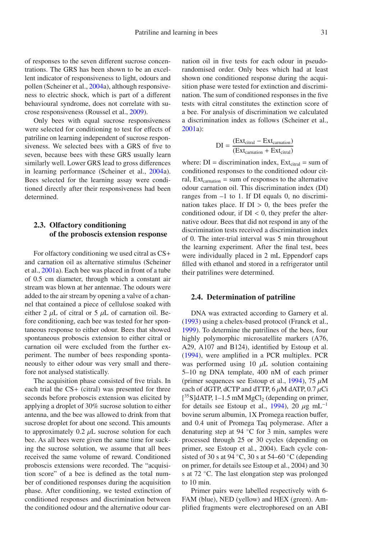of responses to the seven different sucrose concentrations. The GRS has been shown to be an excellent indicator of responsiveness to light, odours and pollen (Scheiner et al., [2004](#page-8-0)a), although responsiveness to electric shock, which is part of a different behavioural syndrome, does not correlate with sucrose responsiveness (Roussel et al., [2009](#page-7-14)).

Only bees with equal sucrose responsiveness were selected for conditioning to test for effects of patriline on learning independent of sucrose responsiveness. We selected bees with a GRS of five to seven, because bees with these GRS usually learn similarly well. Lower GRS lead to gross differences in learning performance (Scheiner et al., [2004](#page-8-0)a). Bees selected for the learning assay were conditioned directly after their responsiveness had been determined.

## **2.3. Olfactory conditioning of the proboscis extension response**

For olfactory conditioning we used citral as CS+ and carnation oil as alternative stimulus (Scheiner et al., [2001](#page-8-1)a). Each bee was placed in front of a tube of 0.5 cm diameter, through which a constant air stream was blown at her antennae. The odours were added to the air stream by opening a valve of a channel that contained a piece of cellulose soaked with either 2  $\mu$ L of citral or 5  $\mu$ L of carnation oil. Before conditioning, each bee was tested for her spontaneous response to either odour. Bees that showed spontaneous proboscis extension to either citral or carnation oil were excluded from the further experiment. The number of bees responding spontaneously to either odour was very small and therefore not analysed statistically.

The acquisition phase consisted of five trials. In each trial the CS+ (citral) was presented for three seconds before proboscis extension was elicited by applying a droplet of 30% sucrose solution to either antenna, and the bee was allowed to drink from that sucrose droplet for about one second. This amounts to approximately  $0.2 \mu L$  sucrose solution for each bee. As all bees were given the same time for sucking the sucrose solution, we assume that all bees received the same volume of reward. Conditioned proboscis extensions were recorded. The "acquisition score" of a bee is defined as the total number of conditioned responses during the acquisition phase. After conditioning, we tested extinction of conditioned responses and discrimination between the conditioned odour and the alternative odour carnation oil in five tests for each odour in pseudorandomised order. Only bees which had at least shown one conditioned response during the acquisition phase were tested for extinction and discrimination. The sum of conditioned responses in the five tests with citral constitutes the extinction score of a bee. For analysis of discrimination we calculated a discrimination index as follows (Scheiner et al., [2001](#page-8-1)a):

$$
DI = \frac{(Ext_{\text{citral}} - Ext_{\text{carnation}})}{(Ext_{\text{carnation}} + Ext_{\text{citral}})}
$$

where:  $DI =$  discrimination index,  $Ext_{\text{cirtal}} =$  sum of conditioned responses to the conditioned odour citral,  $Ext_{\text{carnation}} = \text{sum of responses to the alternative}$ odour carnation oil. This discrimination index (DI) ranges from –1 to 1. If DI equals 0, no discrimination takes place. If  $DI > 0$ , the bees prefer the conditioned odour, if  $DI < 0$ , they prefer the alternative odour. Bees that did not respond in any of the discrimination tests received a discrimination index of 0. The inter-trial interval was 5 min throughout the learning experiment. After the final test, bees were individually placed in 2 mL Eppendorf caps filled with ethanol and stored in a refrigerator until their patrilines were determined.

#### **2.4. Determination of patriline**

DNA was extracted according to Garnery et al. [\(1993](#page-7-15)) using a chelex-based protocol (Franck et al., [1999](#page-7-16)). To determine the patrilines of the bees, four highly polymorphic microsatellite markers (A76, A29, A107 and B124), identified by Estoup et al. [\(1994](#page-7-17)), were amplified in a PCR multiplex. PCR was performed using 10  $\mu$ L solution containing 5–10 ng DNA template, 400 nM of each primer (primer sequences see Estoup et al.,  $1994$ ), 75  $\mu$ M each of dGTP, dCTP and dTTP,  $6 \mu$ M dATP,  $0.7 \mu$ Ci  $[^{35}S]$ dATP, 1–1.5 mM MgCl<sub>2</sub> (depending on primer, for details see Estoup et al., [1994\)](#page-7-17), 20  $\mu$ g mL<sup>-1</sup> bovine serum albumin, 1X Promega reaction buffer, and 0.4 unit of Promega Taq polymerase. After a denaturing step at 94 ◦C for 3 min, samples were processed through 25 or 30 cycles (depending on primer, see Estoup et al., 2004). Each cycle consisted of 30 s at 94 °C, 30 s at 54–60 °C (depending on primer, for details see Estoup et al., 2004) and 30 s at 72 ◦C. The last elongation step was prolonged to 10 min.

Primer pairs were labelled respectively with 6- FAM (blue), NED (yellow) and HEX (green). Amplified fragments were electrophoresed on an ABI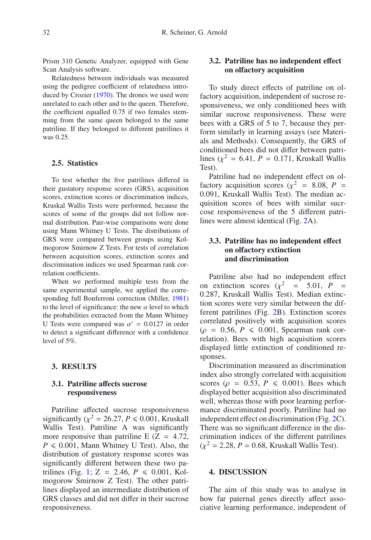Prism 310 Genetic Analyzer, equipped with Gene Scan Analysis software.

Relatedness between individuals was measured using the pedigree coefficient of relatedness introduced by Crozier [\(1970](#page-7-18)). The drones we used were unrelated to each other and to the queen. Therefore, the coefficient equalled 0.75 if two females stemming from the same queen belonged to the same patriline. If they belonged to different patrilines it was 0.25.

#### **2.5. Statistics**

To test whether the five patrilines differed in their gustatory response scores (GRS), acquisition scores, extinction scores or discrimination indices, Kruskal Wallis Tests were performed, because the scores of some of the groups did not follow normal distribution. Pair-wise comparisons were done using Mann Whitney U Tests. The distributions of GRS were compared between groups using Kolmogorow Smirnow Z Tests. For tests of correlation between acquisition scores, extinction scores and discrimination indices we used Spearman rank correlation coefficients.

When we performed multiple tests from the same experimental sample, we applied the corresponding full Bonferroni correction (Miller, [1981](#page-7-19)) to the level of significance: the new  $\alpha$  level to which the probabilities extracted from the Mann Whitney U Tests were compared was  $\alpha' = 0.0127$  in order to detect a significant difference with a confidence level of 5%.

#### **3. RESULTS**

## **3.1. Patriline a**ff**ects sucrose responsiveness**

Patriline affected sucrose responsiveness significantly ( $\chi^2 = 26.27$ ,  $P \le 0.001$ , Kruskall Wallis Test). Patriline A was significantly more responsive than patriline E  $(Z = 4.72)$ ,  $P \le 0.001$ , Mann Whitney U Test). Also, the distribution of gustatory response scores was significantly different between these two pa-trilines (Fig. [1;](#page-4-0) Z = 2.46,  $P \le 0.001$ , Kolmogorow Smirnow Z Test). The other patrilines displayed an intermediate distribution of GRS classes and did not differ in their sucrose responsiveness.

## **3.2. Patriline has no independent e**ff**ect on olfactory acquisition**

To study direct effects of patriline on olfactory acquisition, independent of sucrose responsiveness, we only conditioned bees with similar sucrose responsiveness. These were bees with a GRS of 5 to 7, because they perform similarly in learning assays (see Materials and Methods). Consequently, the GRS of conditioned bees did not differ between patrilines ( $\chi^2$  = 6.41, *P* = 0.171, Kruskall Wallis Test).

Patriline had no independent effect on olfactory acquisition scores ( $\chi^2$  = 8.08, *P* = 0.091, Kruskall Wallis Test). The median acquisition scores of bees with similar sucrcose responsiveness of the 5 different patrilines were almost identical (Fig. [2A](#page-5-0)).

## **3.3. Patriline has no independent e**ff**ect on olfactory extinction and discrimination**

Patriline also had no independent effect on extinction scores  $(x^2 = 5.01, P =$ 0.287, Kruskall Wallis Test). Median extinction scores were very similar between the different patrilines (Fig. [2B](#page-5-0)). Extinction scores correlated positively with acquisition scores  $(\rho = 0.56, P \le 0.001,$  Spearman rank correlation). Bees with high acquisition scores displayed little extinction of conditioned responses.

Discrimination measured as discrimination index also strongly correlated with acquisition scores ( $\rho = 0.53$ ,  $P \le 0.001$ ). Bees which displayed better acquisition also discriminated well, whereas those with poor learning performance discriminated poorly. Patriline had no independent effect on discrimination (Fig. [2C](#page-5-0)). There was no significant difference in the discrimination indices of the different patrilines  $(\chi^2 = 2.28, P = 0.68,$  Kruskall Wallis Test).

## **4. DISCUSSION**

The aim of this study was to analyse in how far paternal genes directly affect associative learning performance, independent of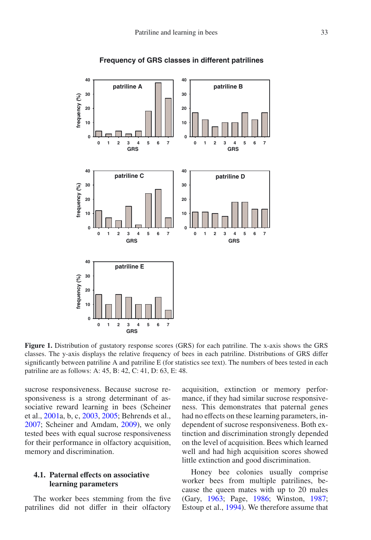

#### **Frequency of GRS classes in different patrilines**

<span id="page-4-0"></span>**Figure 1.** Distribution of gustatory response scores (GRS) for each patriline. The x-axis shows the GRS classes. The y-axis displays the relative frequency of bees in each patriline. Distributions of GRS differ significantly between patriline A and patriline E (for statistics see text). The numbers of bees tested in each patriline are as follows: A: 45, B: 42, C: 41, D: 63, E: 48.

sucrose responsiveness. Because sucrose responsiveness is a strong determinant of associative reward learning in bees (Scheiner et al., [2001](#page-8-1)a, b, c, [2003,](#page-7-4) [2005;](#page-8-2) Behrends et al., [2007](#page-6-0); Scheiner and Amdam, [2009\)](#page-7-20), we only tested bees with equal sucrose responsiveness for their performance in olfactory acquisition, memory and discrimination.

## **4.1. Paternal e**ff**ects on associative learning parameters**

The worker bees stemming from the five patrilines did not differ in their olfactory acquisition, extinction or memory performance, if they had similar sucrose responsiveness. This demonstrates that paternal genes had no effects on these learning parameters, independent of sucrose responsiveness. Both extinction and discrimination strongly depended on the level of acquisition. Bees which learned well and had high acquisition scores showed little extinction and good discrimination.

Honey bee colonies usually comprise worker bees from multiple patrilines, because the queen mates with up to 20 males (Gary, [1963;](#page-7-21) Page, [1986](#page-7-22); Winston, [1987](#page-8-4); Estoup et al., [1994\)](#page-7-17). We therefore assume that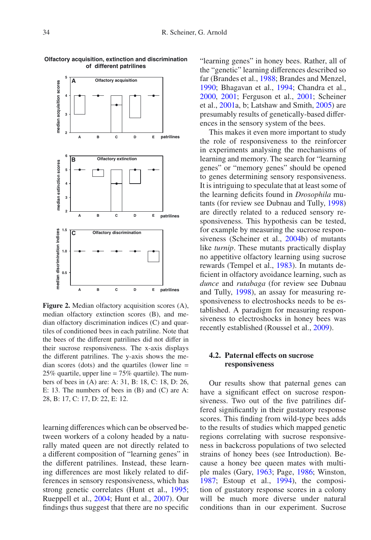

**Olfactory acquisition, extinction and discrimination of different patrilines**

<span id="page-5-0"></span>**Figure 2.** Median olfactory acquisition scores (A), median olfactory extinction scores (B), and median olfactory discrimination indices (C) and quartiles of conditioned bees in each patriline. Note that the bees of the different patrilines did not differ in their sucrose responsiveness. The x-axis displays the different patrilines. The y-axis shows the median scores (dots) and the quartiles (lower line = 25% quartile, upper line  $= 75%$  quartile). The numbers of bees in (A) are: A: 31, B: 18, C: 18, D: 26, E: 13. The numbers of bees in (B) and (C) are A: 28, B: 17, C: 17, D: 22, E: 12.

learning differences which can be observed between workers of a colony headed by a naturally mated queen are not directly related to a different composition of "learning genes" in the different patrilines. Instead, these learning differences are most likely related to differences in sensory responsiveness, which has strong genetic correlates (Hunt et al., [1995;](#page-7-8) Rueppell et al., [2004;](#page-7-9) Hunt et al., [2007\)](#page-7-7). Our findings thus suggest that there are no specific

"learning genes" in honey bees. Rather, all of the "genetic" learning differences described so far (Brandes et al., [1988;](#page-6-1) Brandes and Menzel, [1990](#page-6-3); Bhagavan et al., [1994](#page-6-4); Chandra et al., [2000](#page-6-5), [2001;](#page-7-23) Ferguson et al., [2001;](#page-7-12) Scheiner et al., [2001a](#page-8-1), b; Latshaw and Smith, [2005\)](#page-7-13) are presumably results of genetically-based differences in the sensory system of the bees.

This makes it even more important to study the role of responsiveness to the reinforcer in experiments analysing the mechanisms of learning and memory. The search for "learning genes" or "memory genes" should be opened to genes determining sensory responsiveness. It is intriguing to speculate that at least some of the learning deficits found in *Drosophila* mutants (for review see Dubnau and Tully, [1998](#page-7-11)) are directly related to a reduced sensory responsiveness. This hypothesis can be tested, for example by measuring the sucrose responsiveness (Scheiner et al., [2004b](#page-8-5)) of mutants like *turnip*. These mutants practically display no appetitive olfactory learning using sucrose rewards (Tempel et al., [1983\)](#page-8-6). In mutants deficient in olfactory avoidance learning, such as *dunce* and *rutabaga* (for review see Dubnau and Tully, [1998](#page-7-11)), an assay for measuring responsiveness to electroshocks needs to be established. A paradigm for measuring responsiveness to electroshocks in honey bees was recently established (Roussel et al., [2009](#page-7-14)).

## **4.2. Paternal e**ff**ects on sucrose responsiveness**

Our results show that paternal genes can have a significant effect on sucrose responsiveness. Two out of the five patrilines differed significantly in their gustatory response scores. This finding from wild-type bees adds to the results of studies which mapped genetic regions correlating with sucrose responsiveness in backcross populations of two selected strains of honey bees (see Introduction). Because a honey bee queen mates with multi-ple males (Gary, [1963](#page-7-21); Page, [1986;](#page-7-22) Winston, [1987](#page-8-4); Estoup et al., [1994\)](#page-7-17), the composition of gustatory response scores in a colony will be much more diverse under natural conditions than in our experiment. Sucrose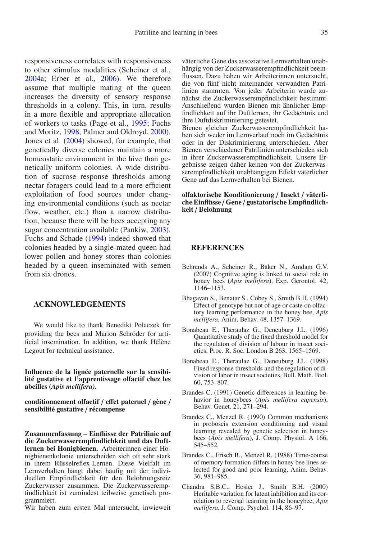responsiveness correlates with responsiveness to other stimulus modalities (Scheiner et al., [2004](#page-8-0)a; Erber et al., [2006](#page-7-24)). We therefore assume that multiple mating of the queen increases the diversity of sensory response thresholds in a colony. This, in turn, results in a more flexible and appropriate allocation of workers to tasks (Page et al., [1995;](#page-7-25) Fuchs and Moritz, [1998;](#page-7-26) Palmer and Oldroyd, [2000\)](#page-7-27). Jones et al. [\(2004\)](#page-7-28) showed, for example, that genetically diverse colonies maintain a more homeostatic environment in the hive than genetically uniform colonies. A wide distribution of sucrose response thresholds among nectar foragers could lead to a more efficient exploitation of food sources under changing environmental conditions (such as nectar flow, weather, etc.) than a narrow distribution, because there will be bees accepting any sugar concentration available (Pankiw, [2003\)](#page-7-29). Fuchs and Schade [\(1994\)](#page-7-30) indeed showed that colonies headed by a single-mated queen had lower pollen and honey stores than colonies headed by a queen inseminated with semen from six drones.

## **ACKNOWLEDGEMENTS**

We would like to thank Benedikt Polaczek for providing the bees and Marion Schröder for artificial insemination. In addition, we thank Hélène Legout for technical assistance.

**Influence de la lignée paternelle sur la sensibilité gustative et l'apprentissage olfactif chez les abeilles (***Apis mellifera)***.**

**conditionnement olfactif** / **e**ff**et paternel** / **gène** / **sensibilité gustative** / **récompense**

**Zusammenfassung** – **Einflüsse der Patrilinie auf die Zuckerwasserempfindlichkeit und das Duftlernen bei Honigbienen.** Arbeiterinnen einer Honigbienenkolonie unterscheiden sich oft sehr stark in ihrem Rüsselreflex-Lernen. Diese Vielfalt im Lernverhalten hängt dabei häufig mit der individuellen Empfindlichkeit für den Belohnungsreiz Zuckerwasser zusammen. Die Zuckerwasserempfindlichkeit ist zumindest teilweise genetisch programmiert.

Wir haben zum ersten Mal untersucht, inwieweit

väterliche Gene das assoziative Lernverhalten unabhängig von der Zuckerwasserempfindlichkeit beeinflussen. Dazu haben wir Arbeiterinnen untersucht, die von fünf nicht miteinander verwandten Patrilinien stammten. Von jeder Arbeiterin wurde zunächst die Zuckerwasserempfindlichkeit bestimmt. Anschließend wurden Bienen mit ähnlicher Empfindlichkeit auf ihr Duftlernen, ihr Gedächtnis und ihre Duftdiskriminierung getestet.

Bienen gleicher Zuckerwasserempfindlichkeit haben sich weder im Lernverlauf noch im Gedächtnis oder in der Diskriminierung unterschieden. Aber Bienen verschiedener Patrilinien unterschieden sich in ihrer Zuckerwasserempfindlichkeit. Unsere Ergebnisse zeigen daher keinen von der Zuckerwasserempfindlichkeit unabhängigen Effekt väterlicher Gene auf das Lernverhalten bei Bienen.

#### **olfaktorische Konditionierung** / **Insekt** / **väterliche Einflüsse** / **Gene** / **gustatorische Empfindlichkeit** / **Belohnung**

#### **REFERENCES**

- <span id="page-6-0"></span>Behrends A., Scheiner R., Baker N., Amdam G.V. (2007) Cognitive aging is linked to social role in honey bees (*Apis mellifera*), Exp. Gerontol. 42, 1146–1153.
- <span id="page-6-4"></span>Bhagavan S., Benatar S., Cobey S., Smith B.H. (1994) Effect of genotype but not of age or caste on olfactory learning performance in the honey bee, *Apis mellifera*, Anim. Behav. 48, 1357–1369.
- Bonabeau E., Theraulaz G., Deneuburg J.L. (1996) Quantitative study of the fixed threshold model for the regulaton of division of labour in insect societies, Proc. R. Soc. London B 263, 1565–1569.
- Bonabeau E., Theraulaz G., Deneuburg J.L. (1998) Fixed response thresholds and the regulation of division of labor in insect societies, Bull. Math. Biol. 60, 753–807.
- <span id="page-6-2"></span>Brandes C. (1991) Genetic differences in learning behavior in honeybees (*Apis mellifera capensis*), Behav. Genet. 21, 271–294.
- <span id="page-6-3"></span>Brandes C., Menzel R. (1990) Common mechanisms in proboscis extension conditioning and visual learning revealed by genetic selection in honeybees (*Apis mellifera*), J. Comp. Physiol. A 166, 545–552.
- <span id="page-6-1"></span>Brandes C., Frisch B., Menzel R. (1988) Time-course of memory formation differs in honey bee lines selected for good and poor learning, Anim. Behav. 36, 981–985.
- <span id="page-6-5"></span>Chandra S.B.C., Hosler J., Smith B.H. (2000) Heritable variation for latent inhibition and its correlation to reversal learning in the honeybee, *Apis mellifera*, J. Comp. Psychol. 114, 86–97.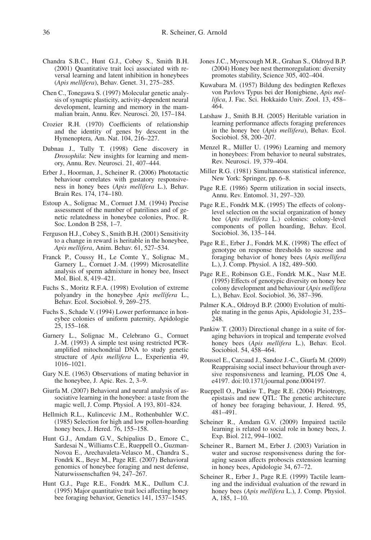- <span id="page-7-23"></span>Chandra S.B.C., Hunt G.J., Cobey S., Smith B.H. (2001) Quantitative trait loci associated with reversal learning and latent inhibition in honeybees (*Apis mellifera*), Behav. Genet. 31, 275–285.
- <span id="page-7-10"></span>Chen C., Tonegawa S. (1997) Molecular genetic analysis of synaptic plasticity, activity-dependent neural development, learning and memory in the mammalian brain, Annu. Rev. Neurosci. 20, 157–184.
- <span id="page-7-18"></span>Crozier R.H. (1970) Coefficients of relationship and the identity of genes by descent in the Hymenoptera, Am. Nat. 104, 216–227.
- <span id="page-7-11"></span>Dubnau J., Tully T. (1998) Gene discovery in *Drosophila*: New insights for learning and memory, Annu. Rev. Neurosci. 21, 407–444.
- <span id="page-7-24"></span>Erber J., Hoorman, J., Scheiner R. (2006) Phototactic behaviour correlates with gustatory responsiveness in honey bees (*Apis mellifera* L.), Behav. Brain Res. 174, 174–180.
- <span id="page-7-17"></span>Estoup A., Solignac M., Cornuet J.M. (1994) Precise assessment of the number of patrilines and of genetic relatedness in honeybee colonies, Proc. R. Soc. London B 258, 1–7.
- <span id="page-7-12"></span>Ferguson H.J., Cobey S., Smith B.H. (2001) Sensitivity to a change in reward is heritable in the honeybee, *Apis mellifera*, Anim. Behav. 61, 527–534.
- <span id="page-7-16"></span>Franck P., Coussy H., Le Comte Y., Solignac M., Garnery L., Cornuet J.-M. (1999) Microsatellite analysis of sperm admixture in honey bee, Insect Mol. Biol. 8, 419–421.
- <span id="page-7-26"></span>Fuchs S., Moritz R.F.A. (1998) Evolution of extreme polyandry in the honeybee *Apis mellifera* L., Behav. Ecol. Sociobiol. 9, 269-275.
- <span id="page-7-30"></span>Fuchs S., Schade V. (1994) Lower performance in honeybee colonies of uniform paternity, Apidologie 25, 155–168.
- <span id="page-7-15"></span>Garnery L., Solignac M., Celebrano G., Cornuet J.-M. (1993) A simple test using restricted PCRamplified mitochondrial DNA to study genetic structure of *Apis mellifera* L., Experientia 49, 1016–1021.
- <span id="page-7-21"></span>Gary N.E. (1963) Observations of mating behavior in the honeybee, J. Apic. Res. 2, 3–9.
- <span id="page-7-1"></span>Giurfa M. (2007) Behavioral and neural analysis of associative learning in the honeybee: a taste from the magic well, J. Comp. Physiol. A 193, 801–824.
- <span id="page-7-5"></span>Hellmich R.L., Kulincevic J.M., Rothenbuhler W.C. (1985) Selection for high and low pollen-hoarding honey bees, J. Hered. 76, 155–158.
- <span id="page-7-7"></span>Hunt G.J., Amdam G.V., Schipalius D., Emore C., Sardesai N., Williams C.E., Rueppell O., Guzman-Novoa E., Arechavaleta-Velasco M., Chandra S., Fondrk K., Beye M., Page RE. (2007) Behavioral genomics of honeybee foraging and nest defense, Naturwissenschaften 94, 247–267.
- <span id="page-7-8"></span>Hunt G.J., Page R.E., Fondrk M.K., Dullum C.J. (1995) Major quantitative trait loci affecting honey bee foraging behavior, Genetics 141, 1537–1545.
- <span id="page-7-28"></span>Jones J.C., Myerscough M.R., Grahan S., Oldroyd B.P. (2004) Honey bee nest thermoregulation: diversity promotes stability, Science 305, 402–404.
- <span id="page-7-2"></span>Kuwabara M. (1957) Bildung des bedingten Reflexes von Pavlovs Typus bei der Honigbiene, *Apis mellifica*, J. Fac. Sci. Hokkaido Univ. Zool. 13, 458– 464.
- <span id="page-7-13"></span>Latshaw J., Smith B.H. (2005) Heritable variation in learning performance affects foraging preferences in the honey bee (*Apis mellifera*), Behav. Ecol. Sociobiol. 58, 200–207.
- <span id="page-7-0"></span>Menzel R., Müller U. (1996) Learning and memory in honeybees: From behavior to neural substrates, Rev. Neurosci. 19, 379–404.
- <span id="page-7-19"></span>Miller R.G. (1981) Simultaneous statistical inference, New York: Springer, pp. 6–8.
- <span id="page-7-22"></span>Page R.E. (1986) Sperm utilization in social insects, Annu. Rev. Entomol. 31, 297–320.
- <span id="page-7-6"></span>Page R.E., Fondrk M.K. (1995) The effects of colonylevel selection on the social organization of honey bee (*Apis mellifera* L.) colonies: colony-level components of pollen hoarding, Behav. Ecol. Sociobiol. 36, 135–144.
- Page R.E., Erber J., Fondrk M.K. (1998) The effect of genotype on response thresholds to sucrose and foraging behavior of honey bees (*Apis mellifera* L.), J. Comp. Physiol. A 182, 489–500.
- <span id="page-7-25"></span>Page R.E., Robinson G.E., Fondrk M.K., Nasr M.E. (1995) Effects of genotypic diversity on honey bee colony development and behaviour (*Apis mellifera* L.), Behav. Ecol. Sociobiol. 36, 387–396.
- <span id="page-7-27"></span>Palmer K.A., Oldroyd B.P. (2000) Evolution of multiple mating in the genus Apis, Apidologie 31, 235– 248.
- <span id="page-7-29"></span>Pankiw T. (2003) Directional change in a suite of foraging behaviors in tropical and temperate evolved honey bees (*Apis mellifera* L.), Behav. Ecol. Sociobiol. 54, 458–464.
- <span id="page-7-14"></span>Roussel E., Carcaud J., Sandoz J.-C., Giurfa M. (2009) Reappraising social insect behaviour through aversive responsiveness and learning, PLOS One 4, e4197. doi:10.1371/journal.pone.0004197.
- <span id="page-7-9"></span>Rueppell O., Pankiw T., Page R.E. (2004) Pleiotropy, epistasis and new QTL: The genetic architecture of honey bee foraging behaviour, J. Hered. 95, 481–491.
- <span id="page-7-20"></span>Scheiner R., Amdam G.V. (2009) Impaired tactile learning is related to social role in honey bees, J. Exp. Biol. 212, 994–1002.
- <span id="page-7-4"></span>Scheiner R., Barnert M., Erber J. (2003) Variation in water and sucrose responsiveness during the foraging season affects proboscis extension learning in honey bees, Apidologie 34, 67–72.
- <span id="page-7-3"></span>Scheiner R., Erber J., Page R.E. (1999) Tactile learning and the individual evaluation of the reward in honey bees (*Apis mellifera* L.), J. Comp. Physiol. A, 185, 1–10.